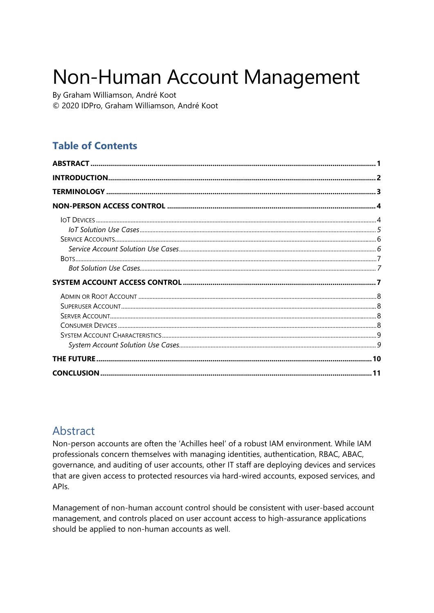# Non-Human Account Management

By Graham Williamson, André Koot © 2020 IDPro, Graham Williamson, André Koot

## **Table of Contents**

## <span id="page-0-0"></span>Abstract

Non-person accounts are often the 'Achilles heel' of a robust IAM environment. While IAM professionals concern themselves with managing identities, authentication, RBAC, ABAC, governance, and auditing of user accounts, other IT staff are deploying devices and services that are given access to protected resources via hard-wired accounts, exposed services, and API<sub>s</sub>

Management of non-human account control should be consistent with user-based account management, and controls placed on user account access to high-assurance applications should be applied to non-human accounts as well.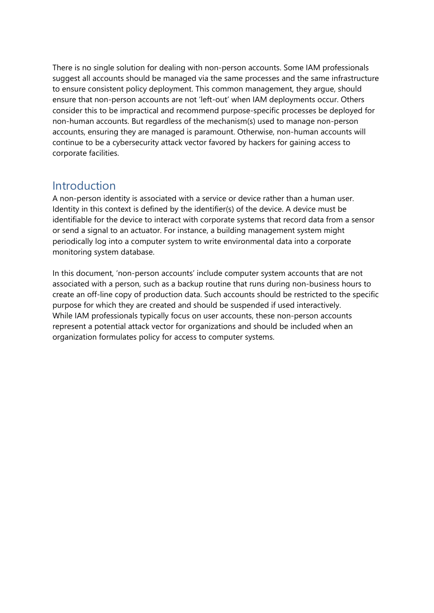There is no single solution for dealing with non-person accounts. Some IAM professionals suggest all accounts should be managed via the same processes and the same infrastructure to ensure consistent policy deployment. This common management, they argue, should ensure that non-person accounts are not 'left-out' when IAM deployments occur. Others consider this to be impractical and recommend purpose-specific processes be deployed for non-human accounts. But regardless of the mechanism(s) used to manage non-person accounts, ensuring they are managed is paramount. Otherwise, non-human accounts will continue to be a cybersecurity attack vector favored by hackers for gaining access to corporate facilities.

## <span id="page-1-0"></span>Introduction

A non-person identity is associated with a service or device rather than a human user. Identity in this context is defined by the identifier(s) of the device. A device must be identifiable for the device to interact with corporate systems that record data from a sensor or send a signal to an actuator. For instance, a building management system might periodically log into a computer system to write environmental data into a corporate monitoring system database.

In this document, 'non-person accounts' include computer system accounts that are not associated with a person, such as a backup routine that runs during non-business hours to create an off-line copy of production data. Such accounts should be restricted to the specific purpose for which they are created and should be suspended if used interactively. While IAM professionals typically focus on user accounts, these non-person accounts represent a potential attack vector for organizations and should be included when an organization formulates policy for access to computer systems.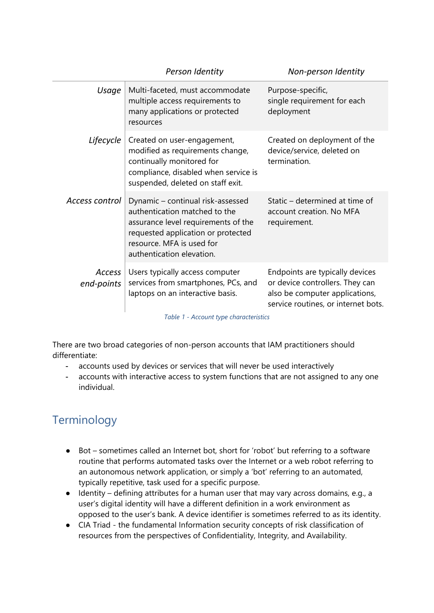|                                        | Person Identity                                                                                                                                                                                           | Non-person Identity                                                                                                                         |
|----------------------------------------|-----------------------------------------------------------------------------------------------------------------------------------------------------------------------------------------------------------|---------------------------------------------------------------------------------------------------------------------------------------------|
| Usage                                  | Multi-faceted, must accommodate<br>multiple access requirements to<br>many applications or protected<br>resources                                                                                         | Purpose-specific,<br>single requirement for each<br>deployment                                                                              |
| Lifecycle                              | Created on user-engagement,<br>modified as requirements change,<br>continually monitored for<br>compliance, disabled when service is<br>suspended, deleted on staff exit.                                 | Created on deployment of the<br>device/service, deleted on<br>termination.                                                                  |
| Access control                         | Dynamic – continual risk-assessed<br>authentication matched to the<br>assurance level requirements of the<br>requested application or protected<br>resource. MFA is used for<br>authentication elevation. | Static – determined at time of<br>account creation. No MFA<br>requirement.                                                                  |
| Access<br>end-points                   | Users typically access computer<br>services from smartphones, PCs, and<br>laptops on an interactive basis.                                                                                                | Endpoints are typically devices<br>or device controllers. They can<br>also be computer applications,<br>service routines, or internet bots. |
| Table 1 - Account type characteristics |                                                                                                                                                                                                           |                                                                                                                                             |

There are two broad categories of non-person accounts that IAM practitioners should differentiate:

- accounts used by devices or services that will never be used interactively
- accounts with interactive access to system functions that are not assigned to any one individual.

## <span id="page-2-0"></span>Terminology

- Bot sometimes called an Internet bot, short for 'robot' but referring to a software routine that performs automated tasks over the Internet or a web robot referring to an autonomous network application, or simply a 'bot' referring to an automated, typically repetitive, task used for a specific purpose.
- Identity defining attributes for a human user that may vary across domains, e.g., a user's digital identity will have a different definition in a work environment as opposed to the user's bank. A device identifier is sometimes referred to as its identity.
- CIA Triad the fundamental Information security concepts of risk classification of resources from the perspectives of Confidentiality, Integrity, and Availability.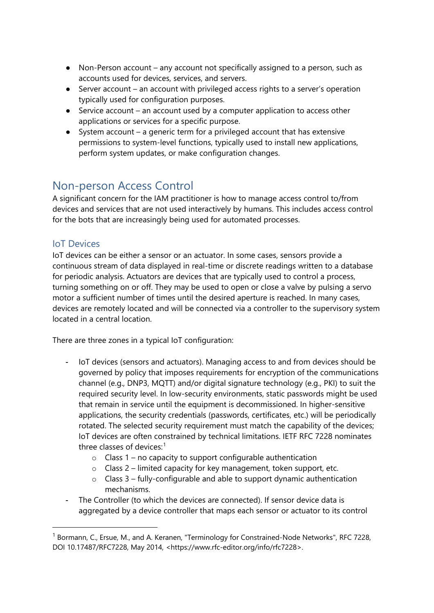- Non-Person account any account not specifically assigned to a person, such as accounts used for devices, services, and servers.
- Server account an account with privileged access rights to a server's operation typically used for configuration purposes.
- Service account an account used by a computer application to access other applications or services for a specific purpose.
- System account a generic term for a privileged account that has extensive permissions to system-level functions, typically used to install new applications, perform system updates, or make configuration changes.

## <span id="page-3-0"></span>Non-person Access Control

A significant concern for the IAM practitioner is how to manage access control to/from devices and services that are not used interactively by humans. This includes access control for the bots that are increasingly being used for automated processes.

## <span id="page-3-1"></span>IoT Devices

<u>.</u>

IoT devices can be either a sensor or an actuator. In some cases, sensors provide a continuous stream of data displayed in real-time or discrete readings written to a database for periodic analysis. Actuators are devices that are typically used to control a process, turning something on or off. They may be used to open or close a valve by pulsing a servo motor a sufficient number of times until the desired aperture is reached. In many cases, devices are remotely located and will be connected via a controller to the supervisory system located in a central location.

There are three zones in a typical IoT configuration:

- IoT devices (sensors and actuators). Managing access to and from devices should be governed by policy that imposes requirements for encryption of the communications channel (e.g., DNP3, MQTT) and/or digital signature technology (e.g., PKI) to suit the required security level. In low-security environments, static passwords might be used that remain in service until the equipment is decommissioned. In higher-sensitive applications, the security credentials (passwords, certificates, etc.) will be periodically rotated. The selected security requirement must match the capability of the devices; IoT devices are often constrained by technical limitations. IETF RFC 7228 nominates three classes of devices: $1$ 
	- $\circ$  Class 1 no capacity to support configurable authentication
	- $\circ$  Class 2 limited capacity for key management, token support, etc.
	- $\circ$  Class 3 fully-configurable and able to support dynamic authentication mechanisms.
- The Controller (to which the devices are connected). If sensor device data is aggregated by a device controller that maps each sensor or actuator to its control

<span id="page-3-2"></span> $1$  Bormann, C., Ersue, M., and A. Keranen, "Terminology for Constrained-Node Networks", RFC 7228, DOI 10.17487/RFC7228, May 2014, <https://www.rfc-editor.org/info/rfc7228>.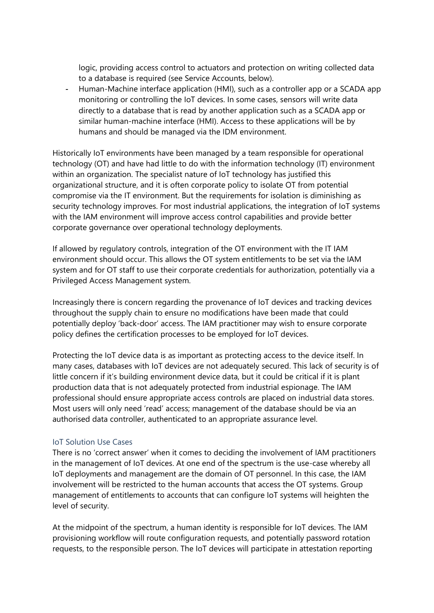logic, providing access control to actuators and protection on writing collected data to a database is required (see Service Accounts, below).

- Human-Machine interface application (HMI), such as a controller app or a SCADA app monitoring or controlling the IoT devices. In some cases, sensors will write data directly to a database that is read by another application such as a SCADA app or similar human-machine interface (HMI). Access to these applications will be by humans and should be managed via the IDM environment.

Historically IoT environments have been managed by a team responsible for operational technology (OT) and have had little to do with the information technology (IT) environment within an organization. The specialist nature of IoT technology has justified this organizational structure, and it is often corporate policy to isolate OT from potential compromise via the IT environment. But the requirements for isolation is diminishing as security technology improves. For most industrial applications, the integration of IoT systems with the IAM environment will improve access control capabilities and provide better corporate governance over operational technology deployments.

If allowed by regulatory controls, integration of the OT environment with the IT IAM environment should occur. This allows the OT system entitlements to be set via the IAM system and for OT staff to use their corporate credentials for authorization, potentially via a Privileged Access Management system.

Increasingly there is concern regarding the provenance of IoT devices and tracking devices throughout the supply chain to ensure no modifications have been made that could potentially deploy 'back-door' access. The IAM practitioner may wish to ensure corporate policy defines the certification processes to be employed for IoT devices.

Protecting the IoT device data is as important as protecting access to the device itself. In many cases, databases with IoT devices are not adequately secured. This lack of security is of little concern if it's building environment device data, but it could be critical if it is plant production data that is not adequately protected from industrial espionage. The IAM professional should ensure appropriate access controls are placed on industrial data stores. Most users will only need 'read' access; management of the database should be via an authorised data controller, authenticated to an appropriate assurance level.

#### <span id="page-4-0"></span>IoT Solution Use Cases

There is no 'correct answer' when it comes to deciding the involvement of IAM practitioners in the management of IoT devices. At one end of the spectrum is the use-case whereby all IoT deployments and management are the domain of OT personnel. In this case, the IAM involvement will be restricted to the human accounts that access the OT systems. Group management of entitlements to accounts that can configure IoT systems will heighten the level of security.

At the midpoint of the spectrum, a human identity is responsible for IoT devices. The IAM provisioning workflow will route configuration requests, and potentially password rotation requests, to the responsible person. The IoT devices will participate in attestation reporting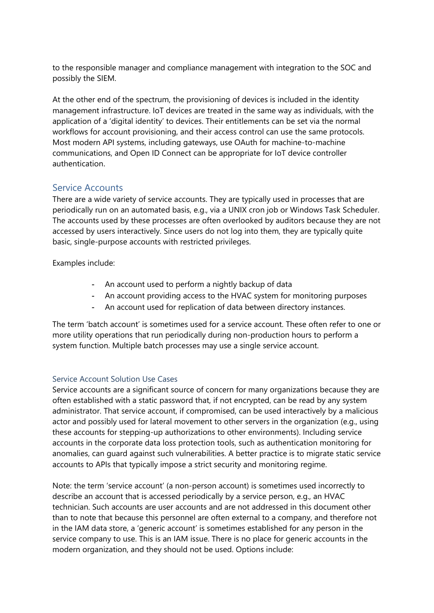to the responsible manager and compliance management with integration to the SOC and possibly the SIEM.

At the other end of the spectrum, the provisioning of devices is included in the identity management infrastructure. IoT devices are treated in the same way as individuals, with the application of a 'digital identity' to devices. Their entitlements can be set via the normal workflows for account provisioning, and their access control can use the same protocols. Most modern API systems, including gateways, use OAuth for machine-to-machine communications, and Open ID Connect can be appropriate for IoT device controller authentication.

## <span id="page-5-0"></span>Service Accounts

There are a wide variety of service accounts. They are typically used in processes that are periodically run on an automated basis, e.g., via a UNIX cron job or Windows Task Scheduler. The accounts used by these processes are often overlooked by auditors because they are not accessed by users interactively. Since users do not log into them, they are typically quite basic, single-purpose accounts with restricted privileges.

Examples include:

- An account used to perform a nightly backup of data
- An account providing access to the HVAC system for monitoring purposes
- An account used for replication of data between directory instances.

The term 'batch account' is sometimes used for a service account. These often refer to one or more utility operations that run periodically during non-production hours to perform a system function. Multiple batch processes may use a single service account.

#### <span id="page-5-1"></span>Service Account Solution Use Cases

Service accounts are a significant source of concern for many organizations because they are often established with a static password that, if not encrypted, can be read by any system administrator. That service account, if compromised, can be used interactively by a malicious actor and possibly used for lateral movement to other servers in the organization (e.g., using these accounts for stepping-up authorizations to other environments). Including service accounts in the corporate data loss protection tools, such as authentication monitoring for anomalies, can guard against such vulnerabilities. A better practice is to migrate static service accounts to APIs that typically impose a strict security and monitoring regime.

Note: the term 'service account' (a non-person account) is sometimes used incorrectly to describe an account that is accessed periodically by a service person, e.g., an HVAC technician. Such accounts are user accounts and are not addressed in this document other than to note that because this personnel are often external to a company, and therefore not in the IAM data store, a 'generic account' is sometimes established for any person in the service company to use. This is an IAM issue. There is no place for generic accounts in the modern organization, and they should not be used. Options include: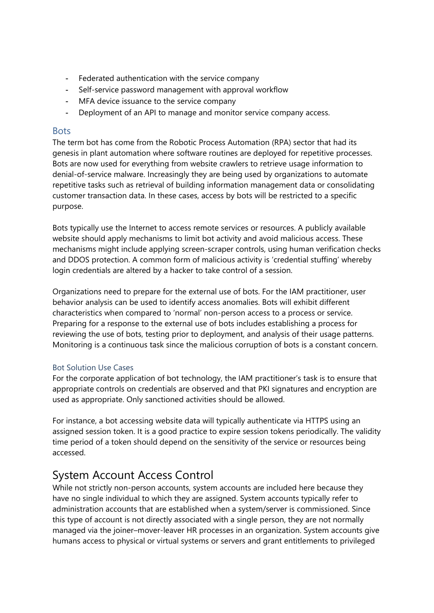- Federated authentication with the service company
- Self-service password management with approval workflow
- MFA device issuance to the service company
- Deployment of an API to manage and monitor service company access.

#### <span id="page-6-0"></span>**Bots**

The term bot has come from the Robotic Process Automation (RPA) sector that had its genesis in plant automation where software routines are deployed for repetitive processes. Bots are now used for everything from website crawlers to retrieve usage information to denial-of-service malware. Increasingly they are being used by organizations to automate repetitive tasks such as retrieval of building information management data or consolidating customer transaction data. In these cases, access by bots will be restricted to a specific purpose.

Bots typically use the Internet to access remote services or resources. A publicly available website should apply mechanisms to limit bot activity and avoid malicious access. These mechanisms might include applying screen-scraper controls, using human verification checks and DDOS protection. A common form of malicious activity is 'credential stuffing' whereby login credentials are altered by a hacker to take control of a session.

Organizations need to prepare for the external use of bots. For the IAM practitioner, user behavior analysis can be used to identify access anomalies. Bots will exhibit different characteristics when compared to 'normal' non-person access to a process or service. Preparing for a response to the external use of bots includes establishing a process for reviewing the use of bots, testing prior to deployment, and analysis of their usage patterns. Monitoring is a continuous task since the malicious corruption of bots is a constant concern.

#### <span id="page-6-1"></span>Bot Solution Use Cases

For the corporate application of bot technology, the IAM practitioner's task is to ensure that appropriate controls on credentials are observed and that PKI signatures and encryption are used as appropriate. Only sanctioned activities should be allowed.

For instance, a bot accessing website data will typically authenticate via HTTPS using an assigned session token. It is a good practice to expire session tokens periodically. The validity time period of a token should depend on the sensitivity of the service or resources being accessed.

## <span id="page-6-2"></span>System Account Access Control

While not strictly non-person accounts, system accounts are included here because they have no single individual to which they are assigned. System accounts typically refer to administration accounts that are established when a system/server is commissioned. Since this type of account is not directly associated with a single person, they are not normally managed via the joiner–mover-leaver HR processes in an organization. System accounts give humans access to physical or virtual systems or servers and grant entitlements to privileged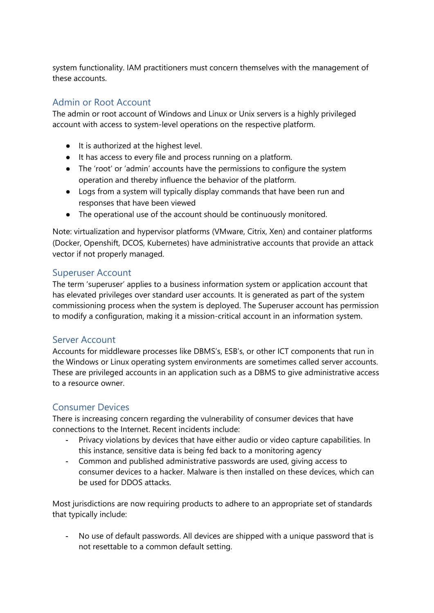system functionality. IAM practitioners must concern themselves with the management of these accounts.

#### <span id="page-7-0"></span>Admin or Root Account

The admin or root account of Windows and Linux or Unix servers is a highly privileged account with access to system-level operations on the respective platform.

- It is authorized at the highest level.
- It has access to every file and process running on a platform.
- The 'root' or 'admin' accounts have the permissions to configure the system operation and thereby influence the behavior of the platform.
- Logs from a system will typically display commands that have been run and responses that have been viewed
- The operational use of the account should be continuously monitored.

Note: virtualization and hypervisor platforms (VMware, Citrix, Xen) and container platforms (Docker, Openshift, DCOS, Kubernetes) have administrative accounts that provide an attack vector if not properly managed.

#### <span id="page-7-1"></span>Superuser Account

The term 'superuser' applies to a business information system or application account that has elevated privileges over standard user accounts. It is generated as part of the system commissioning process when the system is deployed. The Superuser account has permission to modify a configuration, making it a mission-critical account in an information system.

#### <span id="page-7-2"></span>Server Account

Accounts for middleware processes like DBMS's, ESB's, or other ICT components that run in the Windows or Linux operating system environments are sometimes called server accounts. These are privileged accounts in an application such as a DBMS to give administrative access to a resource owner.

## <span id="page-7-3"></span>Consumer Devices

There is increasing concern regarding the vulnerability of consumer devices that have connections to the Internet. Recent incidents include:

- Privacy violations by devices that have either audio or video capture capabilities. In this instance, sensitive data is being fed back to a monitoring agency
- Common and published administrative passwords are used, giving access to consumer devices to a hacker. Malware is then installed on these devices, which can be used for DDOS attacks.

Most jurisdictions are now requiring products to adhere to an appropriate set of standards that typically include:

- No use of default passwords. All devices are shipped with a unique password that is not resettable to a common default setting.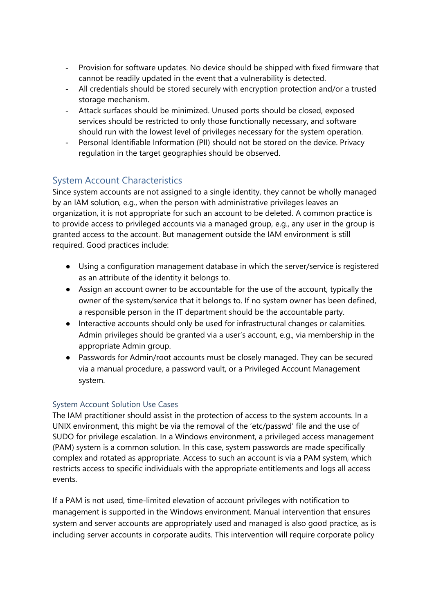- Provision for software updates. No device should be shipped with fixed firmware that cannot be readily updated in the event that a vulnerability is detected.
- All credentials should be stored securely with encryption protection and/or a trusted storage mechanism.
- Attack surfaces should be minimized. Unused ports should be closed, exposed services should be restricted to only those functionally necessary, and software should run with the lowest level of privileges necessary for the system operation.
- Personal Identifiable Information (PII) should not be stored on the device. Privacy regulation in the target geographies should be observed.

## <span id="page-8-0"></span>System Account Characteristics

Since system accounts are not assigned to a single identity, they cannot be wholly managed by an IAM solution, e.g., when the person with administrative privileges leaves an organization, it is not appropriate for such an account to be deleted. A common practice is to provide access to privileged accounts via a managed group, e.g., any user in the group is granted access to the account. But management outside the IAM environment is still required. Good practices include:

- Using a configuration management database in which the server/service is registered as an attribute of the identity it belongs to.
- Assign an account owner to be accountable for the use of the account, typically the owner of the system/service that it belongs to. If no system owner has been defined, a responsible person in the IT department should be the accountable party.
- Interactive accounts should only be used for infrastructural changes or calamities. Admin privileges should be granted via a user's account, e.g., via membership in the appropriate Admin group.
- Passwords for Admin/root accounts must be closely managed. They can be secured via a manual procedure, a password vault, or a Privileged Account Management system.

## <span id="page-8-1"></span>System Account Solution Use Cases

The IAM practitioner should assist in the protection of access to the system accounts. In a UNIX environment, this might be via the removal of the ['etc/passwd'](https://www.google.com/search?sxsrf=ALeKk00EXgVcYJud1c2wvEi6kTkygI3HFQ:1588810082250&q=unix+root+access+sudo+etc+passwd&spell=1&sa=X&ved=2ahUKEwjKo8XkuqDpAhXPXisKHVrJBoIQBSgAegQIDRAn) file and the use of SUDO for privilege escalation. In a Windows environment, a privileged access management (PAM) system is a common solution. In this case, system passwords are made specifically complex and rotated as appropriate. Access to such an account is via a PAM system, which restricts access to specific individuals with the appropriate entitlements and logs all access events.

If a PAM is not used, time-limited elevation of account privileges with notification to management is supported in the Windows environment. Manual intervention that ensures system and server accounts are appropriately used and managed is also good practice, as is including server accounts in corporate audits. This intervention will require corporate policy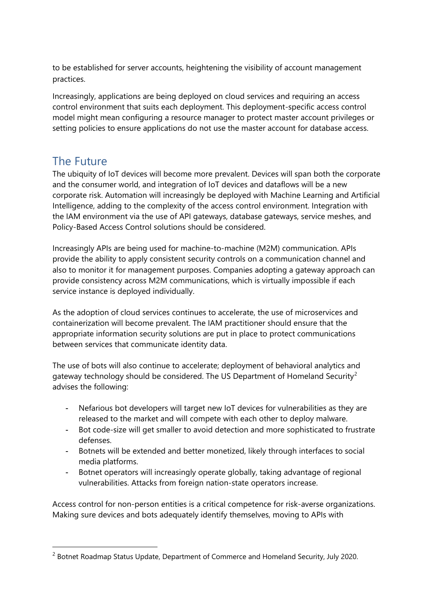to be established for server accounts, heightening the visibility of account management practices.

Increasingly, applications are being deployed on cloud services and requiring an access control environment that suits each deployment. This deployment-specific access control model might mean configuring a resource manager to protect master account privileges or setting policies to ensure applications do not use the master account for database access.

## <span id="page-9-0"></span>The Future

<u>.</u>

The ubiquity of IoT devices will become more prevalent. Devices will span both the corporate and the consumer world, and integration of IoT devices and dataflows will be a new corporate risk. Automation will increasingly be deployed with Machine Learning and Artificial Intelligence, adding to the complexity of the access control environment. Integration with the IAM environment via the use of API gateways, database gateways, service meshes, and Policy-Based Access Control solutions should be considered.

Increasingly APIs are being used for machine-to-machine (M2M) communication. APIs provide the ability to apply consistent security controls on a communication channel and also to monitor it for management purposes. Companies adopting a gateway approach can provide consistency across M2M communications, which is virtually impossible if each service instance is deployed individually.

As the adoption of cloud services continues to accelerate, the use of microservices and containerization will become prevalent. The IAM practitioner should ensure that the appropriate information security solutions are put in place to protect communications between services that communicate identity data.

The use of bots will also continue to accelerate; deployment of behavioral analytics and gateway technology should be considered. The US Department of Homeland Security<sup>[2](#page-9-1)</sup> advises the following:

- Nefarious bot developers will target new IoT devices for vulnerabilities as they are released to the market and will compete with each other to deploy malware.
- Bot code-size will get smaller to avoid detection and more sophisticated to frustrate defenses.
- Botnets will be extended and better monetized, likely through interfaces to social media platforms.
- Botnet operators will increasingly operate globally, taking advantage of regional vulnerabilities. Attacks from foreign nation-state operators increase.

Access control for non-person entities is a critical competence for risk-averse organizations. Making sure devices and bots adequately identify themselves, moving to APIs with

<span id="page-9-1"></span><sup>&</sup>lt;sup>2</sup> Botnet Roadmap Status Update, Department of Commerce and Homeland Security, July 2020.